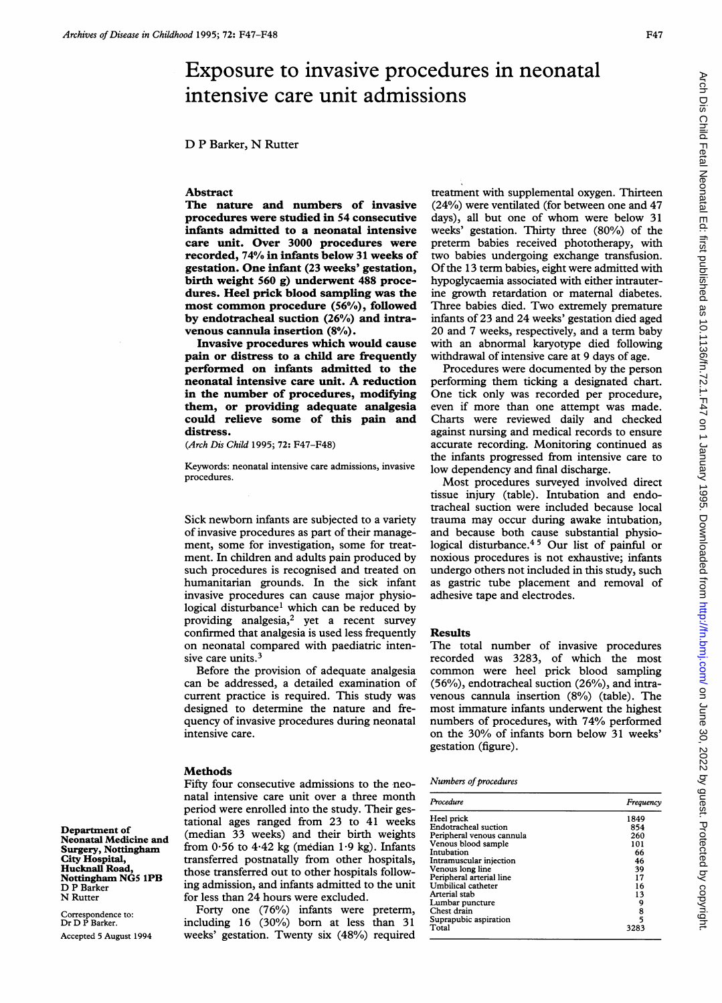# Exposure to invasive procedures in neonatal intensive care unit admissions

D P Barker, N Rutter

## Abstract

The nature and numbers of invasive procedures were studied in 54 consecutive infants admitted to a neonatal intensive care unit. Over 3000 procedures were recorded, 74% in infants below 31 weeks of gestation. One infant (23 weeks' gestation, birth weight 560 g) underwent 488 procedures. Heel prick blood sampling was the most common procedure (56%), foliowed by endotracheal suction (26%) and intravenous cannula insertion (8%).

Invasive procedures which would cause pain or distress to a child are frequently performed on infants admitted to the neonatal intensive care unit. A reduction in the number of procedures, modifying them, or providing adequate analgesia could relieve some of this pain and distress.

(Arch Dis Child 1995; 72: F47-F48)

Keywords: neonatal intensive care admissions, invasive procedures.

Sick newborn infants are subjected to a variety of invasive procedures as part of their management, some for investigation, some for treatment. In children and adults pain produced by such procedures is recognised and treated on humanitarian grounds. In the sick infant invasive procedures can cause major physiological disturbance' which can be reduced by providing analgesia,<sup>2</sup> yet a recent survey confirmed that analgesia is used less frequently on neonatal compared with paediatric intensive care units.<sup>3</sup>

Before the provision of adequate analgesia can be addressed, a detailed examination of current practice is required. This study was designed to determine the nature and frequency of invasive procedures during neonatal intensive care.

#### Methods

Fifty four consecutive admissions to the neonatal intensive care unit over a three month period were enrolled into the study. Their gestational ages ranged from 23 to 41 weeks (median 33 weeks) and their birth weights from  $0.56$  to  $4.42$  kg (median  $1.9$  kg). Infants transferred postnatally from other hospitals, those transferred out to other hospitals following admission, and infants admitted to the unit for less than 24 hours were excluded.

Forty one (76%) infants were preterm, including 16 (30%) born at less than 31 weeks' gestation. Twenty six (48%) required

treatment with supplemental oxygen. Thirteen (24%) were ventilated (for between one and 47 days), all but one of whom were below <sup>31</sup> weeks' gestation. Thirty three (80%) of the preterm babies received phototherapy, with two babies undergoing exchange transfusion. Of the 13 term babies, eight were admitted with hypoglycaemia associated with either intrauterine growth retardation or maternal diabetes. Three babies died. Two extremely premature infants of 23 and 24 weeks' gestation died aged 20 and 7 weeks, respectively, and a term baby with an abnormal karyotype died following withdrawal of intensive care at 9 days of age.

Procedures were documented by the person performing them ticking a designated chart. One tick only was recorded per procedure, even if more than one attempt was made. Charts were reviewed daily and checked against nursing and medical records to ensure accurate recording. Monitoring continued as the infants progressed from intensive care to low dependency and final discharge.

Most procedures surveyed involved direct tissue injury (table). Intubation and endotracheal suction were included because local trauma may occur during awake intubation, and because both cause substantial physiological disturbance.4 5 Our list of painful or noxious procedures is not exhaustive; infants undergo others not included in this study, such as gastric tube placement and removal of adhesive tape and electrodes.

# Results

The total number of invasive procedures recorded was 3283, of which the most common were heel prick blood sampling (56%), endotracheal suction (26%), and intravenous cannula insertion (8%) (table). The most immature infants underwent the highest numbers of procedures, with 74% performed on the 30% of infants born below 31 weeks' gestation (figure).

|  | Numbers of procedures |
|--|-----------------------|
|--|-----------------------|

| Procedure                 | Frequency     |
|---------------------------|---------------|
| Heel prick                | 1849          |
| Endotracheal suction      | 854           |
| Peripheral venous cannula | 260           |
| Venous blood sample       | 101           |
| Intubation                | 66            |
| Intramuscular injection   | 46            |
| Venous long line          | 39            |
| Peripheral arterial line  | 17            |
| Umbilical catheter        | 16            |
| Arterial stab             | 13            |
| Lumbar puncture           | 9             |
| Chest drain               |               |
| Suprapubic aspiration     | $\frac{8}{5}$ |
| Total                     | 3283          |

Department of Neonatal Medicine and Surgery, Nottingham City Hospital, Hucknall Road, Nottingham NGS IPB D P Barker N Rutter

Correspondence to: Dr D P Barker. Accepted 5 August 1994 <http://fn.bmj.com/> Protected by Guest. Protected by Guest. 2011, 1995. Downloaded from 1 January 1995. Downloaded from the first published as 2022 by Guest. Published as 10.1136/fn.71.F47 on 1 January 1995. Downloaded from

Arch Dis Child Fetal Neonatal Ed: first published as 10.11136/fn.72.1.F47 on 1 January 1995. Downloaded from http://fn.bmj.com/ on June 30, 2022 by guest. Protected by copyright